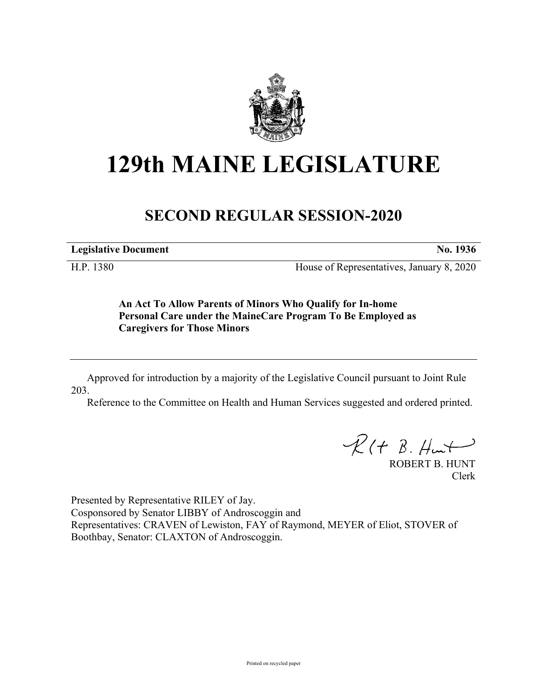

## **129th MAINE LEGISLATURE**

## **SECOND REGULAR SESSION-2020**

**Legislative Document No. 1936**

H.P. 1380 House of Representatives, January 8, 2020

**An Act To Allow Parents of Minors Who Qualify for In-home Personal Care under the MaineCare Program To Be Employed as Caregivers for Those Minors**

Approved for introduction by a majority of the Legislative Council pursuant to Joint Rule 203.

Reference to the Committee on Health and Human Services suggested and ordered printed.

 $R(H B. H<sub>un</sub>+)$ 

ROBERT B. HUNT Clerk

Presented by Representative RILEY of Jay. Cosponsored by Senator LIBBY of Androscoggin and Representatives: CRAVEN of Lewiston, FAY of Raymond, MEYER of Eliot, STOVER of Boothbay, Senator: CLAXTON of Androscoggin.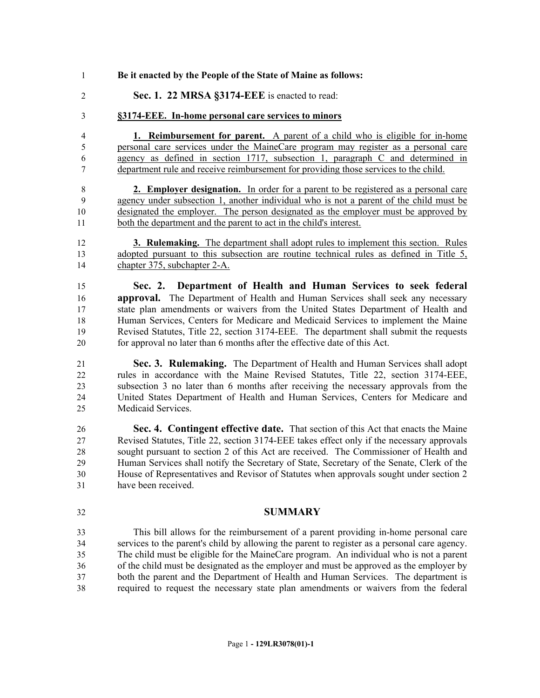- **Be it enacted by the People of the State of Maine as follows:**
- **Sec. 1. 22 MRSA §3174-EEE** is enacted to read:
- **§3174-EEE. In-home personal care services to minors**

 **1. Reimbursement for parent.** A parent of a child who is eligible for in-home personal care services under the MaineCare program may register as a personal care agency as defined in section 1717, subsection 1, paragraph C and determined in department rule and receive reimbursement for providing those services to the child.

 **2. Employer designation.** In order for a parent to be registered as a personal care agency under subsection 1, another individual who is not a parent of the child must be designated the employer. The person designated as the employer must be approved by both the department and the parent to act in the child's interest.

 **3. Rulemaking.** The department shall adopt rules to implement this section. Rules adopted pursuant to this subsection are routine technical rules as defined in Title 5, chapter 375, subchapter 2-A.

 **Sec. 2. Department of Health and Human Services to seek federal approval.** The Department of Health and Human Services shall seek any necessary state plan amendments or waivers from the United States Department of Health and Human Services, Centers for Medicare and Medicaid Services to implement the Maine Revised Statutes, Title 22, section 3174-EEE. The department shall submit the requests for approval no later than 6 months after the effective date of this Act.

 **Sec. 3. Rulemaking.** The Department of Health and Human Services shall adopt rules in accordance with the Maine Revised Statutes, Title 22, section 3174-EEE, subsection 3 no later than 6 months after receiving the necessary approvals from the United States Department of Health and Human Services, Centers for Medicare and Medicaid Services.

 **Sec. 4. Contingent effective date.** That section of this Act that enacts the Maine Revised Statutes, Title 22, section 3174-EEE takes effect only if the necessary approvals sought pursuant to section 2 of this Act are received. The Commissioner of Health and Human Services shall notify the Secretary of State, Secretary of the Senate, Clerk of the House of Representatives and Revisor of Statutes when approvals sought under section 2 have been received.

## **SUMMARY**

 This bill allows for the reimbursement of a parent providing in-home personal care services to the parent's child by allowing the parent to register as a personal care agency. The child must be eligible for the MaineCare program. An individual who is not a parent of the child must be designated as the employer and must be approved as the employer by both the parent and the Department of Health and Human Services. The department is required to request the necessary state plan amendments or waivers from the federal